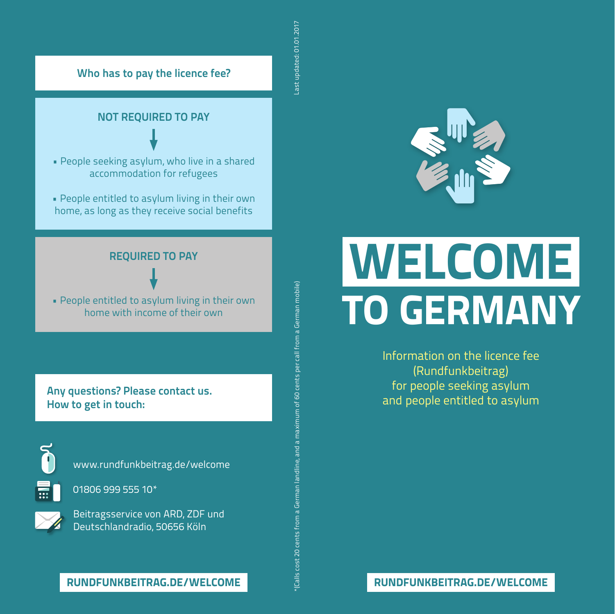# **Who has to pay the licence fee?**



• People seeking asylum, who live in a shared accommodation for refugees

• People entitled to asylum living in their own home, as long as they receive social benefits

# **REQUIRED TO PAY**

• People entitled to asylum living in their own home with income of their own

**Any questions? Please contact us. How to get in touch:** 

www.rundfunkbeitrag.de/welcome



01806 999 555 10\*

Beitragsservice von ARD, ZDF und Deutschlandradio, 50656 Köln

ast updated: 01.01.2017 Last updated: 01.01.2017



# **WELCOME RUNDFUNKBEITRAG.DE/WELCOME**<br>
RUNDFUNKBEITRAG.DE/WELCOME<br>
RUNDFUNKBEITRAG.DE/WELCOME **TO GERMANY**

Information on the licence fee (Rundfunkbeitrag) for people seeking asylum and people entitled to asylum